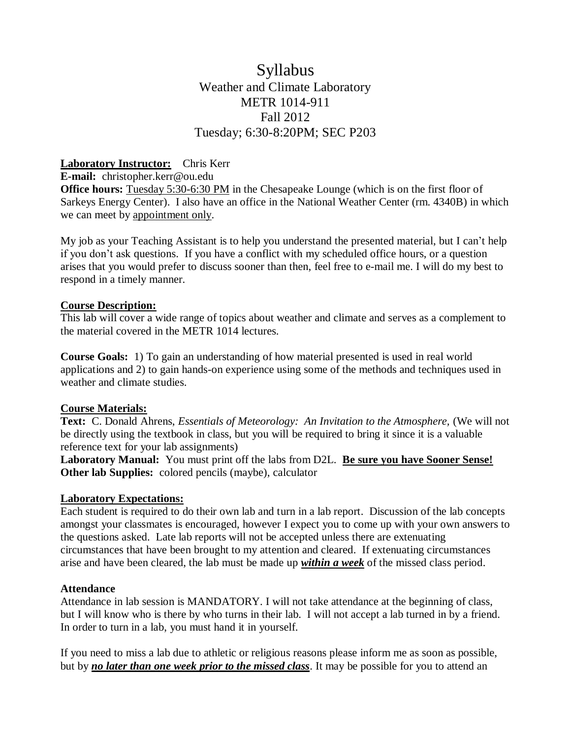## Syllabus Weather and Climate Laboratory METR 1014-911 Fall 2012 Tuesday; 6:30-8:20PM; SEC P203

#### **Laboratory Instructor:** Chris Kerr

**E-mail:** christopher.kerr@ou.edu

**Office hours:** Tuesday 5:30-6:30 PM in the Chesapeake Lounge (which is on the first floor of Sarkeys Energy Center). I also have an office in the National Weather Center (rm. 4340B) in which we can meet by appointment only.

My job as your Teaching Assistant is to help you understand the presented material, but I can't help if you don't ask questions. If you have a conflict with my scheduled office hours, or a question arises that you would prefer to discuss sooner than then, feel free to e-mail me. I will do my best to respond in a timely manner.

#### **Course Description:**

This lab will cover a wide range of topics about weather and climate and serves as a complement to the material covered in the METR 1014 lectures.

**Course Goals:** 1) To gain an understanding of how material presented is used in real world applications and 2) to gain hands-on experience using some of the methods and techniques used in weather and climate studies.

#### **Course Materials:**

**Text:** C. Donald Ahrens, *Essentials of Meteorology: An Invitation to the Atmosphere,* (We will not be directly using the textbook in class, but you will be required to bring it since it is a valuable reference text for your lab assignments)

**Laboratory Manual:** You must print off the labs from D2L. **Be sure you have Sooner Sense! Other lab Supplies:** colored pencils (maybe), calculator

#### **Laboratory Expectations:**

Each student is required to do their own lab and turn in a lab report. Discussion of the lab concepts amongst your classmates is encouraged, however I expect you to come up with your own answers to the questions asked. Late lab reports will not be accepted unless there are extenuating circumstances that have been brought to my attention and cleared. If extenuating circumstances arise and have been cleared, the lab must be made up *within a week* of the missed class period.

#### **Attendance**

Attendance in lab session is MANDATORY. I will not take attendance at the beginning of class, but I will know who is there by who turns in their lab. I will not accept a lab turned in by a friend. In order to turn in a lab, you must hand it in yourself.

If you need to miss a lab due to athletic or religious reasons please inform me as soon as possible, but by *no later than one week prior to the missed class*. It may be possible for you to attend an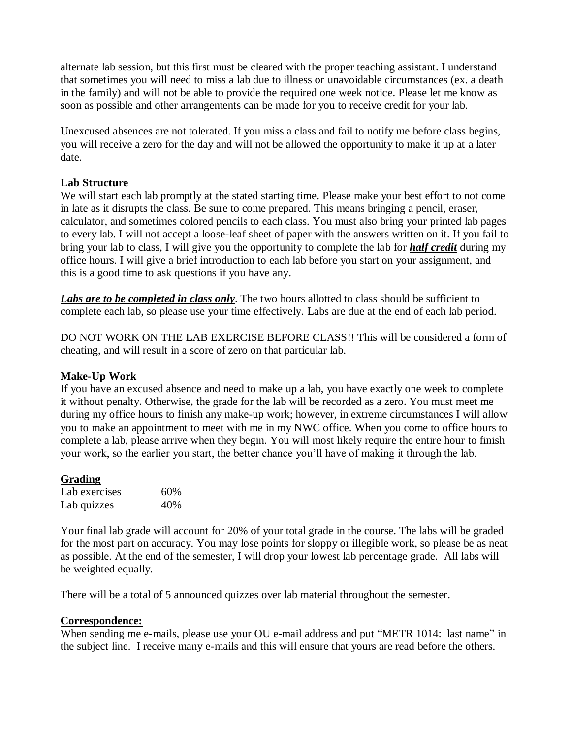alternate lab session, but this first must be cleared with the proper teaching assistant. I understand that sometimes you will need to miss a lab due to illness or unavoidable circumstances (ex. a death in the family) and will not be able to provide the required one week notice. Please let me know as soon as possible and other arrangements can be made for you to receive credit for your lab.

Unexcused absences are not tolerated. If you miss a class and fail to notify me before class begins, you will receive a zero for the day and will not be allowed the opportunity to make it up at a later date.

#### **Lab Structure**

We will start each lab promptly at the stated starting time. Please make your best effort to not come in late as it disrupts the class. Be sure to come prepared. This means bringing a pencil, eraser, calculator, and sometimes colored pencils to each class. You must also bring your printed lab pages to every lab. I will not accept a loose-leaf sheet of paper with the answers written on it. If you fail to bring your lab to class, I will give you the opportunity to complete the lab for *half credit* during my office hours. I will give a brief introduction to each lab before you start on your assignment, and this is a good time to ask questions if you have any.

Labs are to be completed in class only. The two hours allotted to class should be sufficient to complete each lab, so please use your time effectively. Labs are due at the end of each lab period.

DO NOT WORK ON THE LAB EXERCISE BEFORE CLASS!! This will be considered a form of cheating, and will result in a score of zero on that particular lab.

#### **Make-Up Work**

If you have an excused absence and need to make up a lab, you have exactly one week to complete it without penalty. Otherwise, the grade for the lab will be recorded as a zero. You must meet me during my office hours to finish any make-up work; however, in extreme circumstances I will allow you to make an appointment to meet with me in my NWC office. When you come to office hours to complete a lab, please arrive when they begin. You will most likely require the entire hour to finish your work, so the earlier you start, the better chance you'll have of making it through the lab.

#### **Grading**

| Lab exercises | 60% |
|---------------|-----|
| Lab quizzes   | 40% |

Your final lab grade will account for 20% of your total grade in the course. The labs will be graded for the most part on accuracy. You may lose points for sloppy or illegible work, so please be as neat as possible. At the end of the semester, I will drop your lowest lab percentage grade. All labs will be weighted equally.

There will be a total of 5 announced quizzes over lab material throughout the semester.

#### **Correspondence:**

When sending me e-mails, please use your OU e-mail address and put "METR 1014: last name" in the subject line. I receive many e-mails and this will ensure that yours are read before the others.